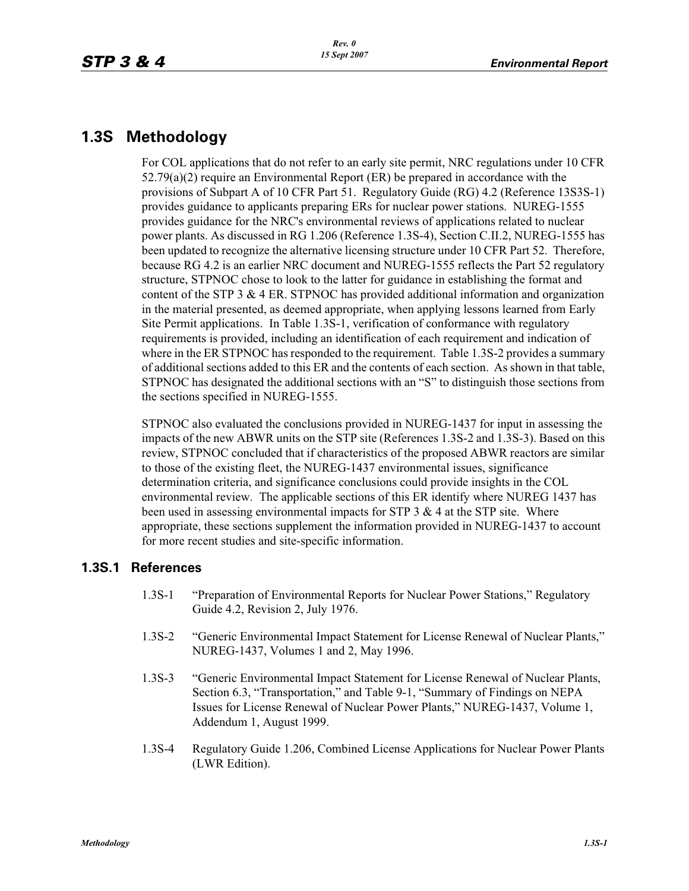## **1.3S Methodology**

For COL applications that do not refer to an early site permit, NRC regulations under 10 CFR 52.79(a)(2) require an Environmental Report (ER) be prepared in accordance with the provisions of Subpart A of 10 CFR Part 51. Regulatory Guide (RG) 4.2 (Reference 13S3S-1) provides guidance to applicants preparing ERs for nuclear power stations. NUREG-1555 provides guidance for the NRC's environmental reviews of applications related to nuclear power plants. As discussed in RG 1.206 (Reference 1.3S-4), Section C.II.2, NUREG-1555 has been updated to recognize the alternative licensing structure under 10 CFR Part 52. Therefore, because RG 4.2 is an earlier NRC document and NUREG-1555 reflects the Part 52 regulatory structure, STPNOC chose to look to the latter for guidance in establishing the format and content of the STP 3  $\&$  4 ER. STPNOC has provided additional information and organization in the material presented, as deemed appropriate, when applying lessons learned from Early Site Permit applications. In Table 1.3S-1, verification of conformance with regulatory requirements is provided, including an identification of each requirement and indication of where in the ER STPNOC has responded to the requirement. Table 1.3S-2 provides a summary of additional sections added to this ER and the contents of each section. As shown in that table, STPNOC has designated the additional sections with an "S" to distinguish those sections from the sections specified in NUREG-1555.

STPNOC also evaluated the conclusions provided in NUREG-1437 for input in assessing the impacts of the new ABWR units on the STP site (References 1.3S-2 and 1.3S-3). Based on this review, STPNOC concluded that if characteristics of the proposed ABWR reactors are similar to those of the existing fleet, the NUREG-1437 environmental issues, significance determination criteria, and significance conclusions could provide insights in the COL environmental review. The applicable sections of this ER identify where NUREG 1437 has been used in assessing environmental impacts for STP  $3 \& 4$  at the STP site. Where appropriate, these sections supplement the information provided in NUREG-1437 to account for more recent studies and site-specific information.

## **1.3S.1 References**

- 1.3S-1 "Preparation of Environmental Reports for Nuclear Power Stations," Regulatory Guide 4.2, Revision 2, July 1976.
- 1.3S-2 "Generic Environmental Impact Statement for License Renewal of Nuclear Plants," NUREG-1437, Volumes 1 and 2, May 1996.
- 1.3S-3 "Generic Environmental Impact Statement for License Renewal of Nuclear Plants, Section 6.3, "Transportation," and Table 9-1, "Summary of Findings on NEPA Issues for License Renewal of Nuclear Power Plants," NUREG-1437, Volume 1, Addendum 1, August 1999.
- 1.3S-4 Regulatory Guide 1.206, Combined License Applications for Nuclear Power Plants (LWR Edition).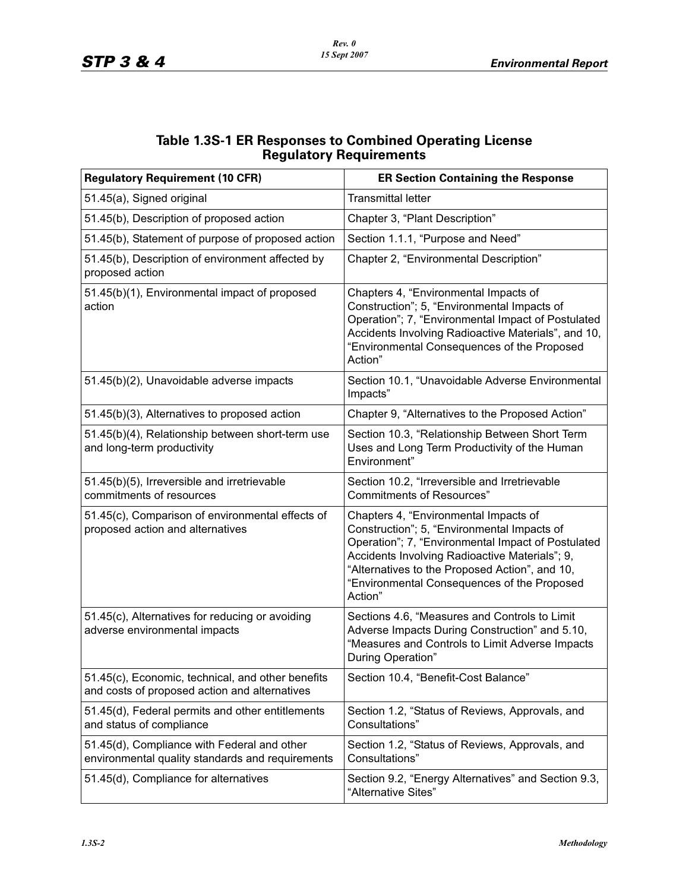| <b>Table 1.3S-1 ER Responses to Combined Operating License</b> |  |  |
|----------------------------------------------------------------|--|--|
| <b>Regulatory Requirements</b>                                 |  |  |

| <b>Regulatory Requirement (10 CFR)</b>                                                             | <b>ER Section Containing the Response</b>                                                                                                                                                                                                                                                                |
|----------------------------------------------------------------------------------------------------|----------------------------------------------------------------------------------------------------------------------------------------------------------------------------------------------------------------------------------------------------------------------------------------------------------|
| 51.45(a), Signed original                                                                          | <b>Transmittal letter</b>                                                                                                                                                                                                                                                                                |
| 51.45(b), Description of proposed action                                                           | Chapter 3, "Plant Description"                                                                                                                                                                                                                                                                           |
| 51.45(b), Statement of purpose of proposed action                                                  | Section 1.1.1, "Purpose and Need"                                                                                                                                                                                                                                                                        |
| 51.45(b), Description of environment affected by<br>proposed action                                | Chapter 2, "Environmental Description"                                                                                                                                                                                                                                                                   |
| 51.45(b)(1), Environmental impact of proposed<br>action                                            | Chapters 4, "Environmental Impacts of<br>Construction"; 5, "Environmental Impacts of<br>Operation"; 7, "Environmental Impact of Postulated<br>Accidents Involving Radioactive Materials", and 10,<br>"Environmental Consequences of the Proposed<br>Action"                                              |
| 51.45(b)(2), Unavoidable adverse impacts                                                           | Section 10.1, "Unavoidable Adverse Environmental<br>Impacts"                                                                                                                                                                                                                                             |
| 51.45(b)(3), Alternatives to proposed action                                                       | Chapter 9, "Alternatives to the Proposed Action"                                                                                                                                                                                                                                                         |
| 51.45(b)(4), Relationship between short-term use<br>and long-term productivity                     | Section 10.3, "Relationship Between Short Term<br>Uses and Long Term Productivity of the Human<br>Environment"                                                                                                                                                                                           |
| 51.45(b)(5), Irreversible and irretrievable<br>commitments of resources                            | Section 10.2, "Irreversible and Irretrievable<br><b>Commitments of Resources</b> "                                                                                                                                                                                                                       |
| 51.45(c), Comparison of environmental effects of<br>proposed action and alternatives               | Chapters 4, "Environmental Impacts of<br>Construction"; 5, "Environmental Impacts of<br>Operation"; 7, "Environmental Impact of Postulated<br>Accidents Involving Radioactive Materials"; 9,<br>"Alternatives to the Proposed Action", and 10,<br>"Environmental Consequences of the Proposed<br>Action" |
| 51.45(c), Alternatives for reducing or avoiding<br>adverse environmental impacts                   | Sections 4.6, "Measures and Controls to Limit<br>Adverse Impacts During Construction" and 5.10,<br>"Measures and Controls to Limit Adverse Impacts<br>During Operation"                                                                                                                                  |
| 51.45(c), Economic, technical, and other benefits<br>and costs of proposed action and alternatives | Section 10.4, "Benefit-Cost Balance"                                                                                                                                                                                                                                                                     |
| 51.45(d), Federal permits and other entitlements<br>and status of compliance                       | Section 1.2, "Status of Reviews, Approvals, and<br>Consultations"                                                                                                                                                                                                                                        |
| 51.45(d), Compliance with Federal and other<br>environmental quality standards and requirements    | Section 1.2, "Status of Reviews, Approvals, and<br>Consultations"                                                                                                                                                                                                                                        |
| 51.45(d), Compliance for alternatives                                                              | Section 9.2, "Energy Alternatives" and Section 9.3,<br>"Alternative Sites"                                                                                                                                                                                                                               |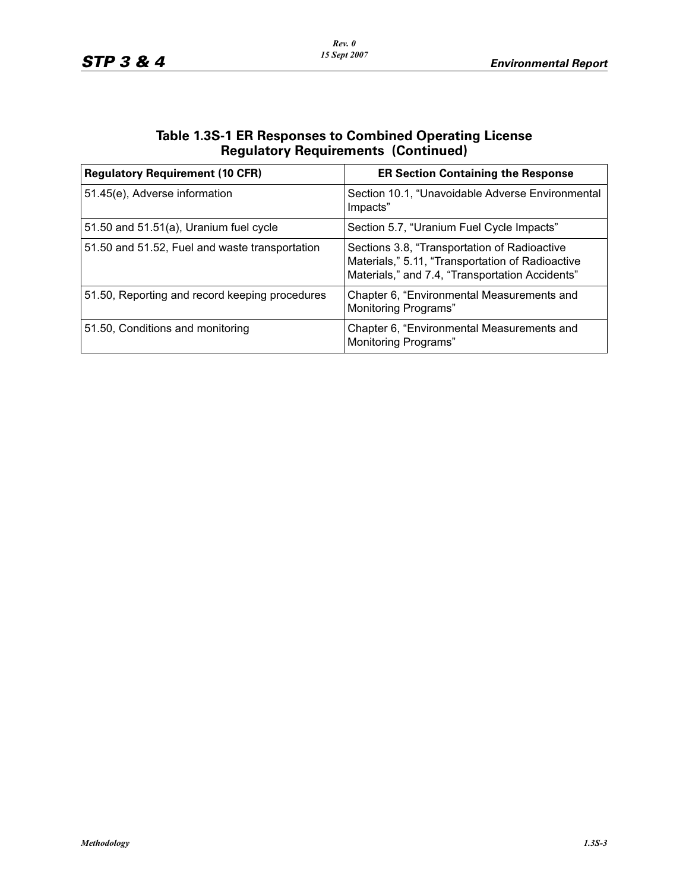| <b>Table 1.3S-1 ER Responses to Combined Operating License</b> |
|----------------------------------------------------------------|
| <b>Regulatory Requirements (Continued)</b>                     |

| <b>Regulatory Requirement (10 CFR)</b>         | <b>ER Section Containing the Response</b>                                                                                                           |
|------------------------------------------------|-----------------------------------------------------------------------------------------------------------------------------------------------------|
| 51.45(e), Adverse information                  | Section 10.1, "Unavoidable Adverse Environmental<br>Impacts"                                                                                        |
| 51.50 and 51.51(a), Uranium fuel cycle         | Section 5.7, "Uranium Fuel Cycle Impacts"                                                                                                           |
| 51.50 and 51.52, Fuel and waste transportation | Sections 3.8, "Transportation of Radioactive<br>Materials," 5.11, "Transportation of Radioactive<br>Materials," and 7.4, "Transportation Accidents" |
| 51.50, Reporting and record keeping procedures | Chapter 6, "Environmental Measurements and<br><b>Monitoring Programs"</b>                                                                           |
| 51.50, Conditions and monitoring               | Chapter 6, "Environmental Measurements and<br><b>Monitoring Programs"</b>                                                                           |